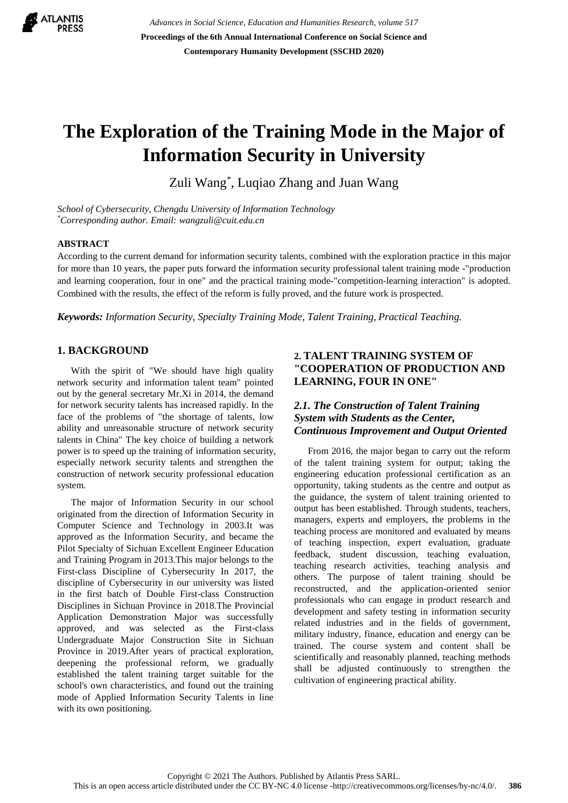

*Advances in Social Science, Education and Humanities Research, volume 517* **Proceedings of the 6th Annual International Conference on Social Science and Contemporary Humanity Development (SSCHD 2020)**

# **The Exploration of the Training Mode in the Major of Information Security in University**

Zuli Wang\* , Luqiao Zhang and Juan Wang

*School of Cybersecurity, Chengdu University of Information Technology \*Corresponding author. Email: wangzuli@cuit.edu.cn*

#### **ABSTRACT**

According to the current demand for information security talents, combined with the exploration practice in this major for more than 10 years, the paper puts forward the information security professional talent training mode -"production and learning cooperation, four in one" and the practical training mode-"competition-learning interaction" is adopted. Combined with the results, the effect of the reform is fully proved, and the future work is prospected.

*Keywords: Information Security, Specialty Training Mode, Talent Training, Practical Teaching.*

## **1. BACKGROUND**

With the spirit of "We should have high quality network security and information talent team" pointed out by the general secretary Mr.Xi in 2014, the demand for network security talents has increased rapidly. In the face of the problems of "the shortage of talents, low ability and unreasonable structure of network security talents in China" The key choice of building a network power is to speed up the training of information security, especially network security talents and strengthen the construction of network security professional education system.

The major of Information Security in our school originated from the direction of Information Security in Computer Science and Technology in 2003.It was approved as the Information Security, and became the Pilot Specialty of Sichuan Excellent Engineer Education and Training Program in 2013.This major belongs to the First-class Discipline of Cybersecurity In 2017, the discipline of Cybersecurity in our university was listed in the first batch of Double First-class Construction Disciplines in Sichuan Province in 2018.The Provincial Application Demonstration Major was successfully approved, and was selected as the First-class Undergraduate Major Construction Site in Sichuan Province in 2019.After years of practical exploration, deepening the professional reform, we gradually established the talent training target suitable for the school's own characteristics, and found out the training mode of Applied Information Security Talents in line with its own positioning.

## **2. TALENT TRAINING SYSTEM OF "COOPERATION OF PRODUCTION AND LEARNING, FOUR IN ONE"**

## *2.1. The Construction of Talent Training System with Students as the Center, Continuous Improvement and Output Oriented*

From 2016, the major began to carry out the reform of the talent training system for output; taking the engineering education professional certification as an opportunity, taking students as the centre and output as the guidance, the system of talent training oriented to output has been established. Through students, teachers, managers, experts and employers, the problems in the teaching process are monitored and evaluated by means of teaching inspection, expert evaluation, graduate feedback, student discussion, teaching evaluation, teaching research activities, teaching analysis and others. The purpose of talent training should be reconstructed, and the application-oriented senior professionals who can engage in product research and development and safety testing in information security related industries and in the fields of government, military industry, finance, education and energy can be trained. The course system and content shall be scientifically and reasonably planned, teaching methods shall be adjusted continuously to strengthen the cultivation of engineering practical ability.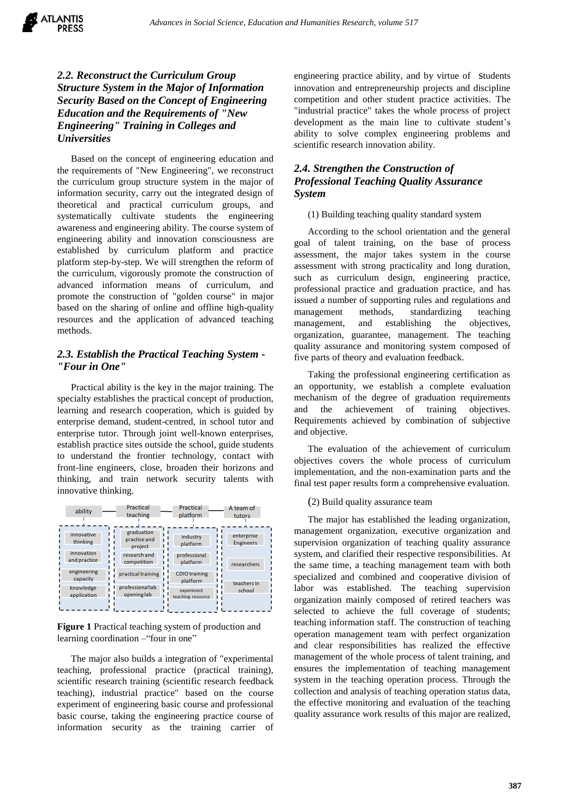# *2.2. Reconstruct the Curriculum Group Structure System in the Major of Information Security Based on the Concept of Engineering Education and the Requirements of "New Engineering" Training in Colleges and Universities*

Based on the concept of engineering education and the requirements of "New Engineering", we reconstruct the curriculum group structure system in the major of information security, carry out the integrated design of theoretical and practical curriculum groups, and systematically cultivate students the engineering awareness and engineering ability. The course system of engineering ability and innovation consciousness are established by curriculum platform and practice platform step-by-step. We will strengthen the reform of the curriculum, vigorously promote the construction of advanced information means of curriculum, and promote the construction of "golden course" in major based on the sharing of online and offline high-quality resources and the application of advanced teaching methods.

## *2.3. Establish the Practical Teaching System - "Four in One"*

Practical ability is the key in the major training. The specialty establishes the practical concept of production, learning and research cooperation, which is guided by enterprise demand, student-centred, in school tutor and enterprise tutor. Through joint well-known enterprises, establish practice sites outside the school, guide students to understand the frontier technology, contact with front-line engineers, close, broaden their horizons and thinking, and train network security talents with innovative thinking.

| ability                 | Practical                             | Practical                        | A team of                      |
|-------------------------|---------------------------------------|----------------------------------|--------------------------------|
|                         | teaching                              | platform                         | tutors                         |
| innovative<br>thinking  | graduation<br>practice and<br>project | industry<br>platform             | enterprise<br><b>Engineers</b> |
| innovation              | research and                          | professional                     | researchers                    |
| and practice            | competition                           | platform                         |                                |
| engineering<br>capacity | practical training                    | <b>CDIO</b> training<br>platform |                                |
| knowledge               | professionallab                       | experiment                       | teachers in                    |
| application             | openinglab                            | teaching resource                | school                         |
|                         |                                       |                                  |                                |

**Figure 1** Practical teaching system of production and learning coordination –"four in one"

The major also builds a integration of "experimental teaching, professional practice (practical training), scientific research training (scientific research feedback teaching), industrial practice" based on the course experiment of engineering basic course and professional basic course, taking the engineering practice course of information security as the training carrier of engineering practice ability, and by virtue of students innovation and entrepreneurship projects and discipline competition and other student practice activities. The "industrial practice" takes the whole process of project development as the main line to cultivate student's ability to solve complex engineering problems and scientific research innovation ability.

# *2.4. Strengthen the Construction of Professional Teaching Quality Assurance System*

### (1) Building teaching quality standard system

According to the school orientation and the general goal of talent training, on the base of process assessment, the major takes system in the course assessment with strong practicality and long duration, such as curriculum design, engineering practice, professional practice and graduation practice, and has issued a number of supporting rules and regulations and management methods, standardizing teaching management, and establishing the objectives, organization, guarantee, management. The teaching quality assurance and monitoring system composed of five parts of theory and evaluation feedback.

Taking the professional engineering certification as an opportunity, we establish a complete evaluation mechanism of the degree of graduation requirements and the achievement of training objectives. Requirements achieved by combination of subjective and objective.

The evaluation of the achievement of curriculum objectives covers the whole process of curriculum implementation, and the non-examination parts and the final test paper results form a comprehensive evaluation.

#### (2) Build quality assurance team

The major has established the leading organization, management organization, executive organization and supervision organization of teaching quality assurance system, and clarified their respective responsibilities. At the same time, a teaching management team with both specialized and combined and cooperative division of labor was established. The teaching supervision organization mainly composed of retired teachers was selected to achieve the full coverage of students; teaching information staff. The construction of teaching operation management team with perfect organization and clear responsibilities has realized the effective management of the whole process of talent training, and ensures the implementation of teaching management system in the teaching operation process. Through the collection and analysis of teaching operation status data, the effective monitoring and evaluation of the teaching quality assurance work results of this major are realized,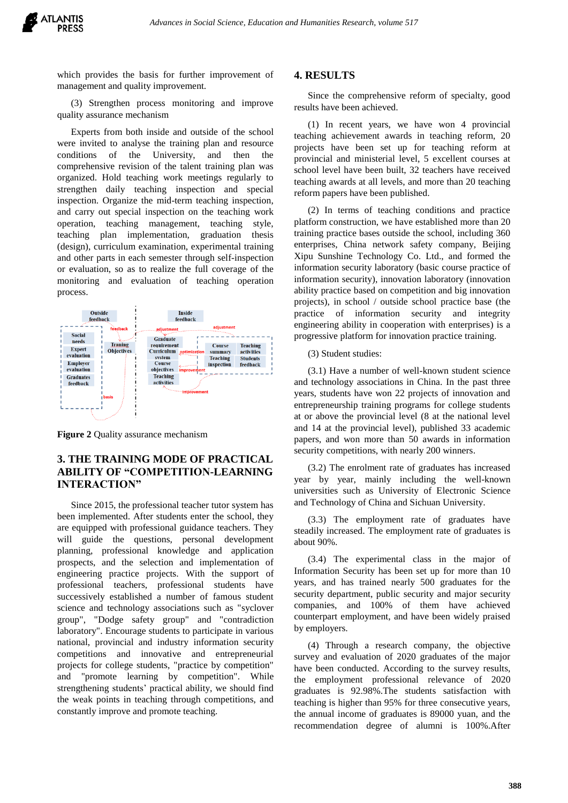which provides the basis for further improvement of management and quality improvement.

(3) Strengthen process monitoring and improve quality assurance mechanism

Experts from both inside and outside of the school were invited to analyse the training plan and resource conditions of the University, and then the comprehensive revision of the talent training plan was organized. Hold teaching work meetings regularly to strengthen daily teaching inspection and special inspection. Organize the mid-term teaching inspection, and carry out special inspection on the teaching work operation, teaching management, teaching style, teaching plan implementation, graduation thesis (design), curriculum examination, experimental training and other parts in each semester through self-inspection or evaluation, so as to realize the full coverage of the monitoring and evaluation of teaching operation process.



**Figure 2** Quality assurance mechanism

# **3. THE TRAINING MODE OF PRACTICAL ABILITY OF "COMPETITION-LEARNING INTERACTION"**

Since 2015, the professional teacher tutor system has been implemented. After students enter the school, they are equipped with professional guidance teachers. They will guide the questions, personal development planning, professional knowledge and application prospects, and the selection and implementation of engineering practice projects. With the support of professional teachers, professional students have successively established a number of famous student science and technology associations such as "syclover group", "Dodge safety group" and "contradiction laboratory". Encourage students to participate in various national, provincial and industry information security competitions and innovative and entrepreneurial projects for college students, "practice by competition" and "promote learning by competition". While strengthening students' practical ability, we should find the weak points in teaching through competitions, and constantly improve and promote teaching.

#### **4. RESULTS**

Since the comprehensive reform of specialty, good results have been achieved.

(1) In recent years, we have won 4 provincial teaching achievement awards in teaching reform, 20 projects have been set up for teaching reform at provincial and ministerial level, 5 excellent courses at school level have been built, 32 teachers have received teaching awards at all levels, and more than 20 teaching reform papers have been published.

(2) In terms of teaching conditions and practice platform construction, we have established more than 20 training practice bases outside the school, including 360 enterprises, China network safety company, Beijing Xipu Sunshine Technology Co. Ltd., and formed the information security laboratory (basic course practice of information security), innovation laboratory (innovation ability practice based on competition and big innovation projects), in school / outside school practice base (the practice of information security and integrity engineering ability in cooperation with enterprises) is a progressive platform for innovation practice training.

(3) Student studies:

(3.1) Have a number of well-known student science and technology associations in China. In the past three years, students have won 22 projects of innovation and entrepreneurship training programs for college students at or above the provincial level (8 at the national level and 14 at the provincial level), published 33 academic papers, and won more than 50 awards in information security competitions, with nearly 200 winners.

(3.2) The enrolment rate of graduates has increased year by year, mainly including the well-known universities such as University of Electronic Science and Technology of China and Sichuan University.

(3.3) The employment rate of graduates have steadily increased. The employment rate of graduates is about 90%.

(3.4) The experimental class in the major of Information Security has been set up for more than 10 years, and has trained nearly 500 graduates for the security department, public security and major security companies, and 100% of them have achieved counterpart employment, and have been widely praised by employers.

(4) Through a research company, the objective survey and evaluation of 2020 graduates of the major have been conducted. According to the survey results, the employment professional relevance of 2020 graduates is 92.98%.The students satisfaction with teaching is higher than 95% for three consecutive years, the annual income of graduates is 89000 yuan, and the recommendation degree of alumni is 100%.After